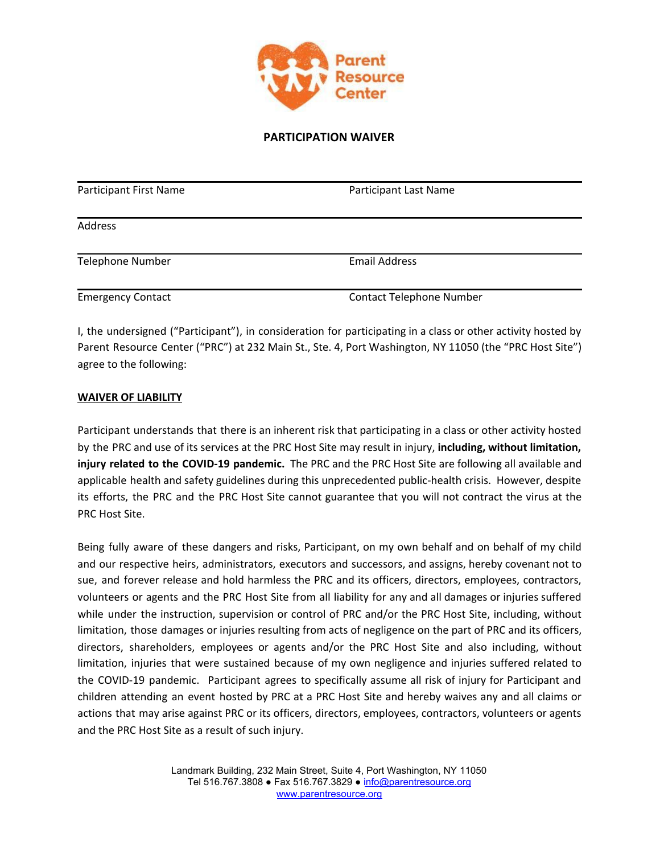

### **PARTICIPATION WAIVER**

| Participant First Name   | Participant Last Name           |  |
|--------------------------|---------------------------------|--|
| <b>Address</b>           |                                 |  |
| <b>Telephone Number</b>  | <b>Email Address</b>            |  |
| <b>Emergency Contact</b> | <b>Contact Telephone Number</b> |  |

I, the undersigned ("Participant"), in consideration for participating in a class or other activity hosted by Parent Resource Center ("PRC") at 232 Main St., Ste. 4, Port Washington, NY 11050 (the "PRC Host Site") agree to the following:

#### **WAIVER OF LIABILITY**

Participant understands that there is an inherent risk that participating in a class or other activity hosted by the PRC and use of its services at the PRC Host Site may result in injury, **including, without limitation, injury related to the COVID-19 pandemic.** The PRC and the PRC Host Site are following all available and applicable health and safety guidelines during this unprecedented public-health crisis. However, despite its efforts, the PRC and the PRC Host Site cannot guarantee that you will not contract the virus at the PRC Host Site.

Being fully aware of these dangers and risks, Participant, on my own behalf and on behalf of my child and our respective heirs, administrators, executors and successors, and assigns, hereby covenant not to sue, and forever release and hold harmless the PRC and its officers, directors, employees, contractors, volunteers or agents and the PRC Host Site from all liability for any and all damages or injuries suffered while under the instruction, supervision or control of PRC and/or the PRC Host Site, including, without limitation, those damages or injuries resulting from acts of negligence on the part of PRC and its officers, directors, shareholders, employees or agents and/or the PRC Host Site and also including, without limitation, injuries that were sustained because of my own negligence and injuries suffered related to the COVID-19 pandemic. Participant agrees to specifically assume all risk of injury for Participant and children attending an event hosted by PRC at a PRC Host Site and hereby waives any and all claims or actions that may arise against PRC or its officers, directors, employees, contractors, volunteers or agents and the PRC Host Site as a result of such injury.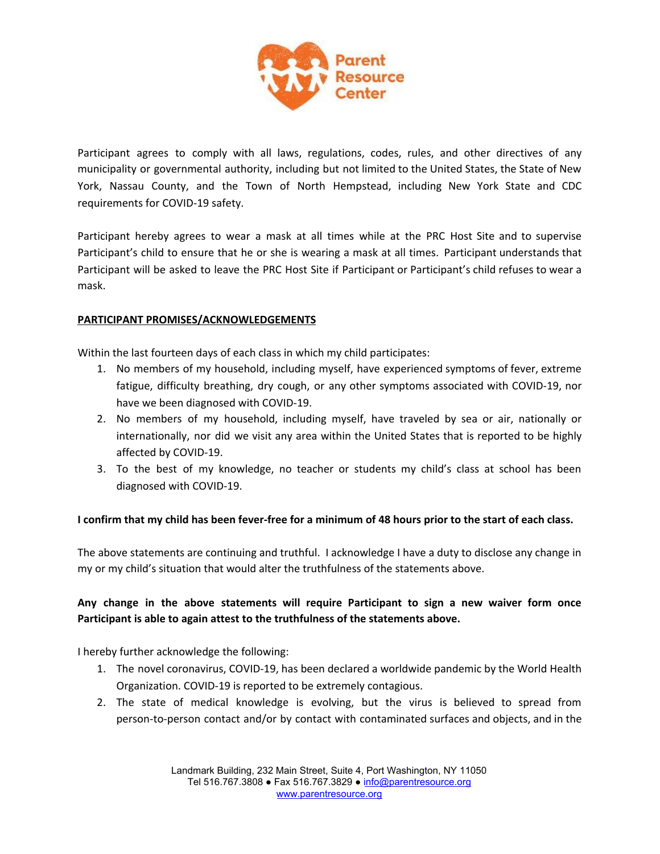

Participant agrees to comply with all laws, regulations, codes, rules, and other directives of any municipality or governmental authority, including but not limited to the United States, the State of New York, Nassau County, and the Town of North Hempstead, including New York State and CDC requirements for COVID-19 safety.

Participant hereby agrees to wear a mask at all times while at the PRC Host Site and to supervise Participant's child to ensure that he or she is wearing a mask at all times. Participant understands that Participant will be asked to leave the PRC Host Site if Participant or Participant's child refuses to wear a mask.

### **PARTICIPANT PROMISES/ACKNOWLEDGEMENTS**

Within the last fourteen days of each class in which my child participates:

- 1. No members of my household, including myself, have experienced symptoms of fever, extreme fatigue, difficulty breathing, dry cough, or any other symptoms associated with COVID-19, nor have we been diagnosed with COVID-19.
- 2. No members of my household, including myself, have traveled by sea or air, nationally or internationally, nor did we visit any area within the United States that is reported to be highly affected by COVID-19.
- 3. To the best of my knowledge, no teacher or students my child's class at school has been diagnosed with COVID-19.

# I confirm that my child has been fever-free for a minimum of 48 hours prior to the start of each class.

The above statements are continuing and truthful. I acknowledge I have a duty to disclose any change in my or my child's situation that would alter the truthfulness of the statements above.

# **Any change in the above statements will require Participant to sign a new waiver form once Participant is able to again attest to the truthfulness of the statements above.**

I hereby further acknowledge the following:

- 1. The novel coronavirus, COVID-19, has been declared a worldwide pandemic by the World Health Organization. COVID-19 is reported to be extremely contagious.
- 2. The state of medical knowledge is evolving, but the virus is believed to spread from person-to-person contact and/or by contact with contaminated surfaces and objects, and in the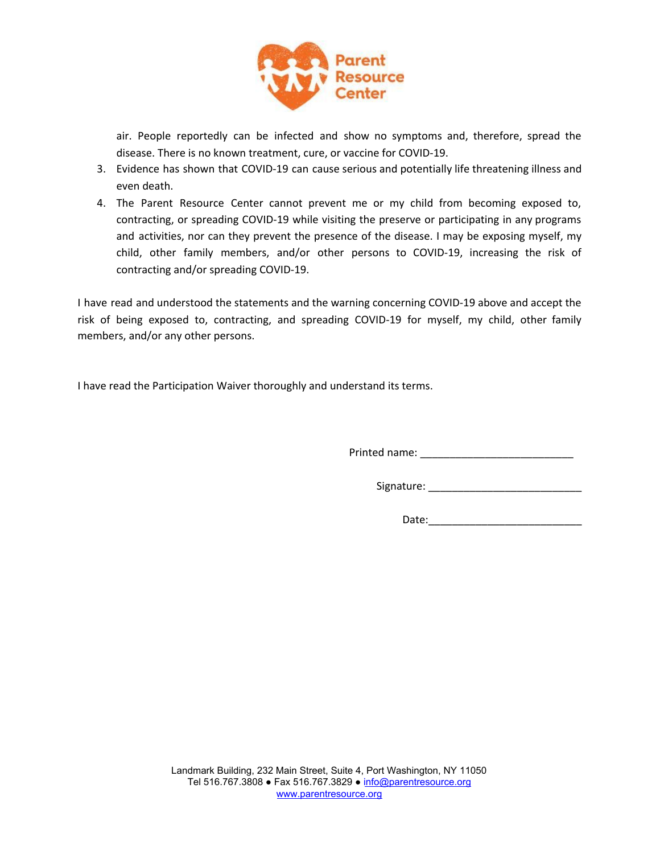

air. People reportedly can be infected and show no symptoms and, therefore, spread the disease. There is no known treatment, cure, or vaccine for COVID-19.

- 3. Evidence has shown that COVID-19 can cause serious and potentially life threatening illness and even death.
- 4. The Parent Resource Center cannot prevent me or my child from becoming exposed to, contracting, or spreading COVID-19 while visiting the preserve or participating in any programs and activities, nor can they prevent the presence of the disease. I may be exposing myself, my child, other family members, and/or other persons to COVID-19, increasing the risk of contracting and/or spreading COVID-19.

I have read and understood the statements and the warning concerning COVID-19 above and accept the risk of being exposed to, contracting, and spreading COVID-19 for myself, my child, other family members, and/or any other persons.

I have read the Participation Waiver thoroughly and understand its terms.

Printed name: \_\_\_\_\_\_\_\_\_\_\_\_\_\_\_\_\_\_\_\_\_\_\_\_\_\_

Signature: \_\_\_\_\_\_\_\_\_\_\_\_\_\_\_\_\_\_\_\_\_\_\_\_\_\_

Date:\_\_\_\_\_\_\_\_\_\_\_\_\_\_\_\_\_\_\_\_\_\_\_\_\_\_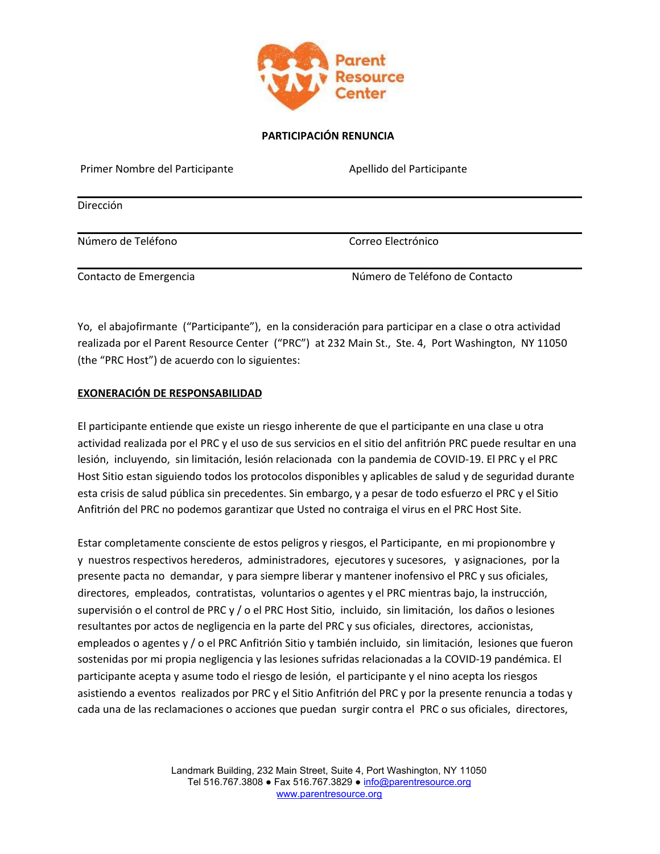

### **PARTICIPACIÓN RENUNCIA**

| Primer Nombre del Participante | Apellido del Participante      |
|--------------------------------|--------------------------------|
| Dirección                      |                                |
| Número de Teléfono             | Correo Electrónico             |
| Contacto de Emergencia         | Número de Teléfono de Contacto |

Yo, el abajofirmante ("Participante"), en la consideración para participar en a clase o otra actividad realizada por el Parent Resource Center ("PRC") at 232 Main St., Ste. 4, Port Washington, NY 11050 (the "PRC Host") de acuerdo con lo siguientes:

### **EXONERACIÓN DE RESPONSABILIDAD**

El participante entiende que existe un riesgo inherente de que el participante en una clase u otra actividad realizada por el PRC y el uso de sus servicios en el sitio del anfitrión PRC puede resultar en una lesión, incluyendo, sin limitación, lesión relacionada con la pandemia de COVID-19. El PRC y el PRC Host Sitio estan siguiendo todos los protocolos disponibles y aplicables de salud y de seguridad durante esta crisis de salud pública sin precedentes. Sin embargo, y a pesar de todo esfuerzo el PRC y el Sitio Anfitrión del PRC no podemos garantizar que Usted no contraiga el virus en el PRC Host Site.

Estar completamente consciente de estos peligros y riesgos, el Participante, en mi propionombre y y nuestros respectivos herederos, administradores, ejecutores y sucesores, y asignaciones, por la presente pacta no demandar, y para siempre liberar y mantener inofensivo el PRC y sus oficiales, directores, empleados, contratistas, voluntarios o agentes y el PRC mientras bajo, la instrucción, supervisión o el control de PRC y / o el PRC Host Sitio, incluido, sin limitación, los daños o lesiones resultantes por actos de negligencia en la parte del PRC y sus oficiales, directores, accionistas, empleados o agentes y / o el PRC Anfitrión Sitio y también incluido, sin limitación, lesiones que fueron sostenidas por mi propia negligencia y las lesiones sufridas relacionadas a la COVID-19 pandémica. El participante acepta y asume todo el riesgo de lesión, el participante y el nino acepta los riesgos asistiendo a eventos realizados por PRC y el Sitio Anfitrión del PRC y por la presente renuncia a todas y cada una de las reclamaciones o acciones que puedan surgir contra el PRC o sus oficiales, directores,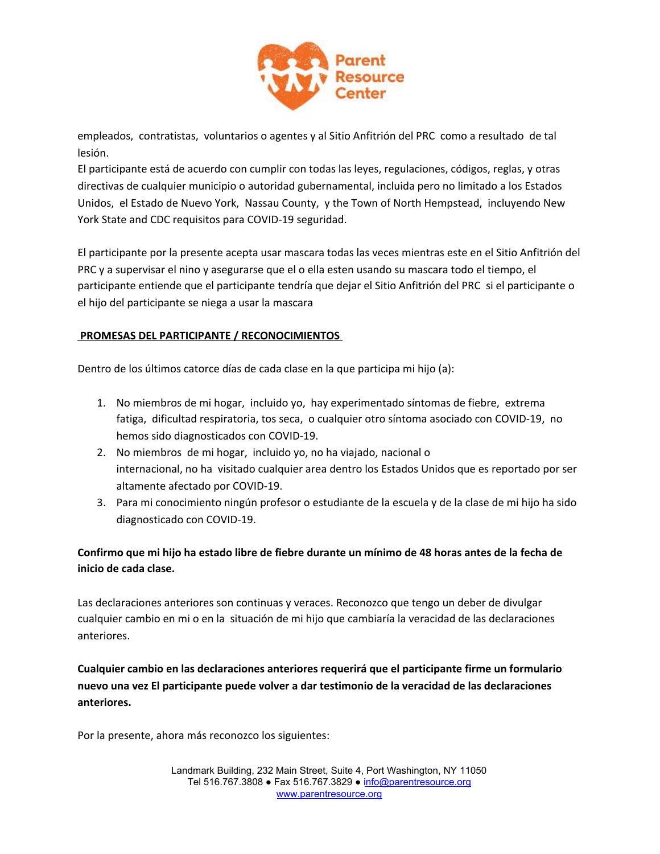

empleados, contratistas, voluntarios o agentes y al Sitio Anfitrión del PRC como a resultado de tal lesión.

El participante está de acuerdo con cumplir con todas las leyes, regulaciones, códigos, reglas, y otras directivas de cualquier municipio o autoridad gubernamental, incluida pero no limitado a los Estados Unidos, el Estado de Nuevo York, Nassau County, y the Town of North Hempstead, incluyendo New York State and CDC requisitos para COVID-19 seguridad.

El participante por la presente acepta usar mascara todas las veces mientras este en el Sitio Anfitrión del PRC y a supervisar el nino y asegurarse que el o ella esten usando su mascara todo el tiempo, el participante entiende que el participante tendría que dejar el Sitio Anfitrión del PRC si el participante o el hijo del participante se niega a usar la mascara

# **PROMESAS DEL PARTICIPANTE / RECONOCIMIENTOS**

Dentro de los últimos catorce días de cada clase en la que participa mi hijo (a):

- 1. No miembros de mi hogar, incluido yo, hay experimentado síntomas de fiebre, extrema fatiga, dificultad respiratoria, tos seca, o cualquier otro síntoma asociado con COVID-19, no hemos sido diagnosticados con COVID-19.
- 2. No miembros de mi hogar, incluido yo, no ha viajado, nacional o internacional, no ha visitado cualquier area dentro los Estados Unidos que es reportado por ser altamente afectado por COVID-19.
- 3. Para mi conocimiento ningún profesor o estudiante de la escuela y de la clase de mi hijo ha sido diagnosticado con COVID-19.

# Confirmo que mi hijo ha estado libre de fiebre durante un mínimo de 48 horas antes de la fecha de **inicio de cada clase.**

Las declaraciones anteriores son continuas y veraces. Reconozco que tengo un deber de divulgar cualquier cambio en mi o en la situación de mi hijo que cambiaría la veracidad de las declaraciones anteriores.

**Cualquier cambio en las declaraciones anteriores requerirá que el participante firme un formulario nuevo una vez El participante puede volver a dar testimonio de la veracidad de las declaraciones anteriores.**

Por la presente, ahora más reconozco los siguientes: